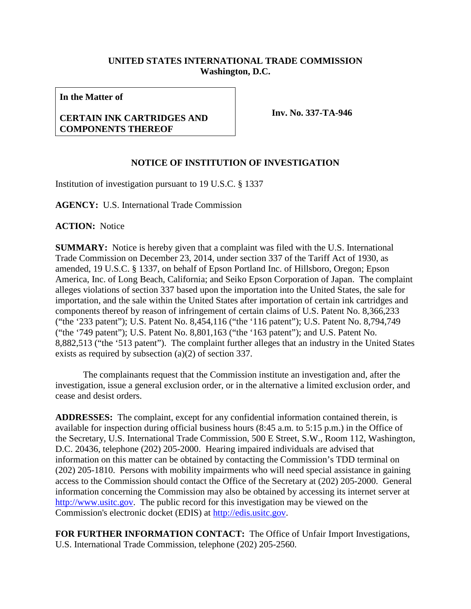## **UNITED STATES INTERNATIONAL TRADE COMMISSION Washington, D.C.**

**In the Matter of**

## **CERTAIN INK CARTRIDGES AND COMPONENTS THEREOF**

**Inv. No. 337-TA-946**

## **NOTICE OF INSTITUTION OF INVESTIGATION**

Institution of investigation pursuant to 19 U.S.C. § 1337

**AGENCY:** U.S. International Trade Commission

**ACTION:** Notice

**SUMMARY:** Notice is hereby given that a complaint was filed with the U.S. International Trade Commission on December 23, 2014, under section 337 of the Tariff Act of 1930, as amended, 19 U.S.C. § 1337, on behalf of Epson Portland Inc. of Hillsboro, Oregon; Epson America, Inc. of Long Beach, California; and Seiko Epson Corporation of Japan. The complaint alleges violations of section 337 based upon the importation into the United States, the sale for importation, and the sale within the United States after importation of certain ink cartridges and components thereof by reason of infringement of certain claims of U.S. Patent No. 8,366,233 ("the '233 patent"); U.S. Patent No. 8,454,116 ("the '116 patent"); U.S. Patent No. 8,794,749 ("the '749 patent"); U.S. Patent No. 8,801,163 ("the '163 patent"); and U.S. Patent No. 8,882,513 ("the '513 patent"). The complaint further alleges that an industry in the United States exists as required by subsection (a)(2) of section 337.

The complainants request that the Commission institute an investigation and, after the investigation, issue a general exclusion order, or in the alternative a limited exclusion order, and cease and desist orders.

**ADDRESSES:** The complaint, except for any confidential information contained therein, is available for inspection during official business hours (8:45 a.m. to 5:15 p.m.) in the Office of the Secretary, U.S. International Trade Commission, 500 E Street, S.W., Room 112, Washington, D.C. 20436, telephone (202) 205-2000. Hearing impaired individuals are advised that information on this matter can be obtained by contacting the Commission's TDD terminal on (202) 205-1810. Persons with mobility impairments who will need special assistance in gaining access to the Commission should contact the Office of the Secretary at (202) 205-2000. General information concerning the Commission may also be obtained by accessing its internet server at [http://www.usitc.gov.](http://www.usitc.gov/) The public record for this investigation may be viewed on the Commission's electronic docket (EDIS) at [http://edis.usitc.gov.](http://edis.usitc.gov/)

**FOR FURTHER INFORMATION CONTACT:** The Office of Unfair Import Investigations, U.S. International Trade Commission, telephone (202) 205-2560.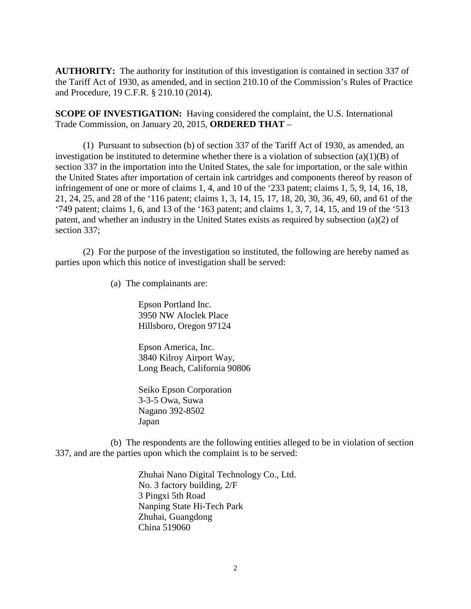**AUTHORITY:** The authority for institution of this investigation is contained in section 337 of the Tariff Act of 1930, as amended, and in section 210.10 of the Commission's Rules of Practice and Procedure, 19 C.F.R. § 210.10 (2014).

**SCOPE OF INVESTIGATION:** Having considered the complaint, the U.S. International Trade Commission, on January 20, 2015, **ORDERED THAT** –

(1) Pursuant to subsection (b) of section 337 of the Tariff Act of 1930, as amended, an investigation be instituted to determine whether there is a violation of subsection (a)(1)(B) of section 337 in the importation into the United States, the sale for importation, or the sale within the United States after importation of certain ink cartridges and components thereof by reason of infringement of one or more of claims 1, 4, and 10 of the '233 patent; claims 1, 5, 9, 14, 16, 18, 21, 24, 25, and 28 of the '116 patent; claims 1, 3, 14, 15, 17, 18, 20, 30, 36, 49, 60, and 61 of the '749 patent; claims 1, 6, and 13 of the '163 patent; and claims 1, 3, 7, 14, 15, and 19 of the '513 patent, and whether an industry in the United States exists as required by subsection (a)(2) of section 337;

(2) For the purpose of the investigation so instituted, the following are hereby named as parties upon which this notice of investigation shall be served:

(a) The complainants are:

Epson Portland Inc. 3950 NW Aloclek Place Hillsboro, Oregon 97124

Epson America, Inc. 3840 Kilroy Airport Way, Long Beach, California 90806

Seiko Epson Corporation 3-3-5 Owa, Suwa Nagano 392-8502 Japan

(b) The respondents are the following entities alleged to be in violation of section 337, and are the parties upon which the complaint is to be served:

> Zhuhai Nano Digital Technology Co., Ltd. No. 3 factory building, 2/F 3 Pingxi 5th Road Nanping State Hi-Tech Park Zhuhai, Guangdong China 519060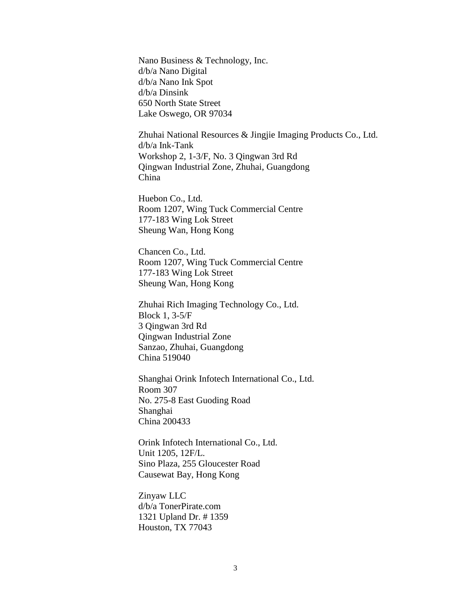Nano Business & Technology, Inc. d/b/a Nano Digital d/b/a Nano Ink Spot d/b/a Dinsink 650 North State Street Lake Oswego, OR 97034

Zhuhai National Resources & Jingjie Imaging Products Co., Ltd. d/b/a Ink-Tank Workshop 2, 1-3/F, No. 3 Qingwan 3rd Rd Qingwan Industrial Zone, Zhuhai, Guangdong China

Huebon Co., Ltd. Room 1207, Wing Tuck Commercial Centre 177-183 Wing Lok Street Sheung Wan, Hong Kong

Chancen Co., Ltd. Room 1207, Wing Tuck Commercial Centre 177-183 Wing Lok Street Sheung Wan, Hong Kong

Zhuhai Rich Imaging Technology Co., Ltd. Block 1, 3-5/F 3 Qingwan 3rd Rd Qingwan Industrial Zone Sanzao, Zhuhai, Guangdong China 519040

Shanghai Orink Infotech International Co., Ltd. Room 307 No. 275-8 East Guoding Road Shanghai China 200433

Orink Infotech International Co., Ltd. Unit 1205, 12F/L. Sino Plaza, 255 Gloucester Road Causewat Bay, Hong Kong

Zinyaw LLC d/b/a TonerPirate.com 1321 Upland Dr. # 1359 Houston, TX 77043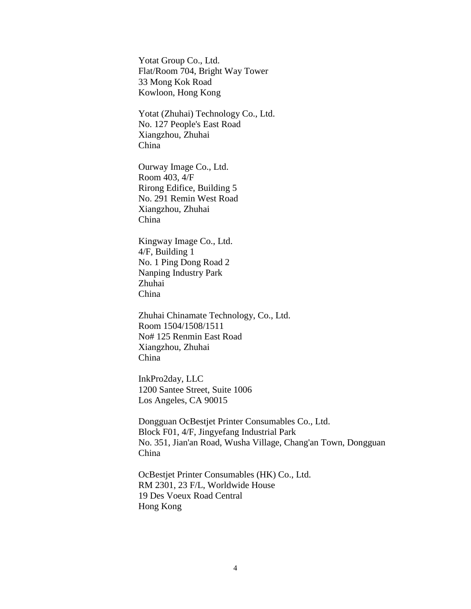Yotat Group Co., Ltd. Flat/Room 704, Bright Way Tower 33 Mong Kok Road Kowloon, Hong Kong

Yotat (Zhuhai) Technology Co., Ltd. No. 127 People's East Road Xiangzhou, Zhuhai China

Ourway Image Co., Ltd. Room 403, 4/F Rirong Edifice, Building 5 No. 291 Remin West Road Xiangzhou, Zhuhai China

Kingway Image Co., Ltd. 4/F, Building 1 No. 1 Ping Dong Road 2 Nanping Industry Park Zhuhai China

Zhuhai Chinamate Technology, Co., Ltd. Room 1504/1508/1511 No# 125 Renmin East Road Xiangzhou, Zhuhai China

InkPro2day, LLC 1200 Santee Street, Suite 1006 Los Angeles, CA 90015

Dongguan OcBestjet Printer Consumables Co., Ltd. Block F01, 4/F, Jingyefang Industrial Park No. 351, Jian'an Road, Wusha Village, Chang'an Town, Dongguan China

OcBestjet Printer Consumables (HK) Co., Ltd. RM 2301, 23 F/L, Worldwide House 19 Des Voeux Road Central Hong Kong